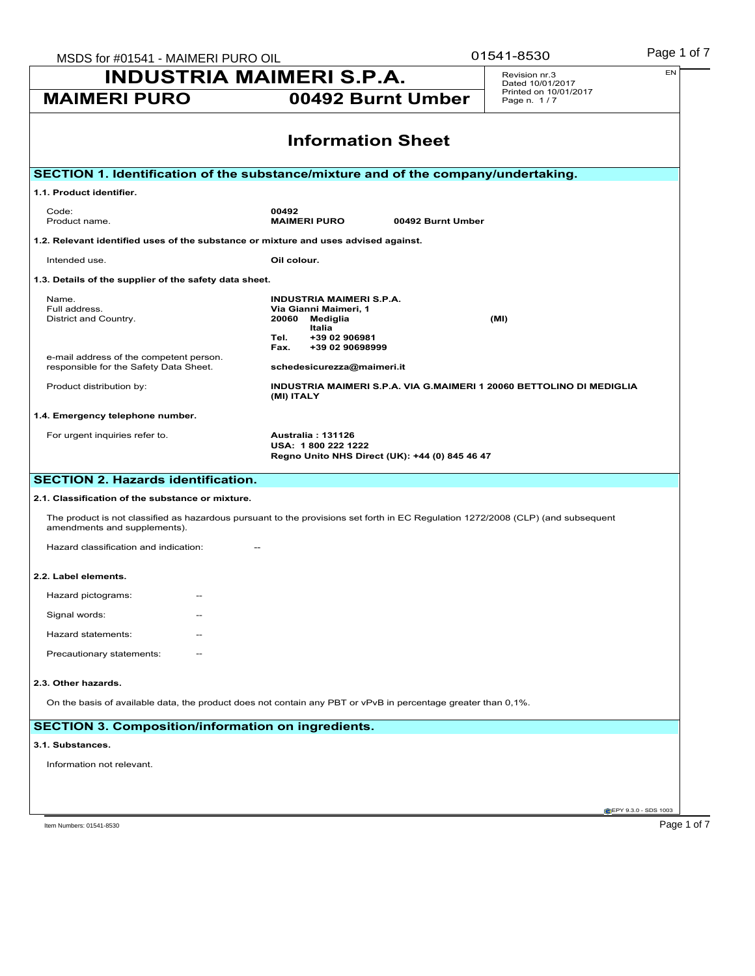|                                                                                                                              | MSDS for #01541 - MAIMERI PURO OIL                                                                                                          | 01541-8530                           | Page 1 of 7 |
|------------------------------------------------------------------------------------------------------------------------------|---------------------------------------------------------------------------------------------------------------------------------------------|--------------------------------------|-------------|
|                                                                                                                              | <b>INDUSTRIA MAIMERI S.P.A.</b>                                                                                                             | Revision nr.3<br>Dated 10/01/2017    | EN          |
| <b>MAIMERI PURO</b>                                                                                                          | 00492 Burnt Umber                                                                                                                           | Printed on 10/01/2017<br>Page n. 1/7 |             |
|                                                                                                                              | <b>Information Sheet</b>                                                                                                                    |                                      |             |
|                                                                                                                              | SECTION 1. Identification of the substance/mixture and of the company/undertaking.                                                          |                                      |             |
| 1.1. Product identifier.                                                                                                     |                                                                                                                                             |                                      |             |
| Code:<br>Product name.                                                                                                       | 00492<br><b>MAIMERI PURO</b><br>00492 Burnt Umber                                                                                           |                                      |             |
| 1.2. Relevant identified uses of the substance or mixture and uses advised against.                                          |                                                                                                                                             |                                      |             |
| Intended use.                                                                                                                | Oil colour.                                                                                                                                 |                                      |             |
| 1.3. Details of the supplier of the safety data sheet.                                                                       |                                                                                                                                             |                                      |             |
| Name.<br>Full address.<br>District and Country.                                                                              | <b>INDUSTRIA MAIMERI S.P.A.</b><br>Via Gianni Maimeri, 1<br>20060<br>Mediglia<br>Italia<br>+39 02 906981<br>Tel.<br>Fax.<br>+39 02 90698999 | (MI)                                 |             |
| e-mail address of the competent person.<br>responsible for the Safety Data Sheet.                                            | schedesicurezza@maimeri.it                                                                                                                  |                                      |             |
| Product distribution by:                                                                                                     | INDUSTRIA MAIMERI S.P.A. VIA G.MAIMERI 1 20060 BETTOLINO DI MEDIGLIA<br>(MI) ITALY                                                          |                                      |             |
| 1.4. Emergency telephone number.                                                                                             |                                                                                                                                             |                                      |             |
| For urgent inquiries refer to.                                                                                               | Australia: 131126<br>USA: 1800 222 1222<br>Regno Unito NHS Direct (UK): +44 (0) 845 46 47                                                   |                                      |             |
| <b>SECTION 2. Hazards identification.</b>                                                                                    |                                                                                                                                             |                                      |             |
| 2.1. Classification of the substance or mixture.                                                                             |                                                                                                                                             |                                      |             |
| amendments and supplements).                                                                                                 | The product is not classified as hazardous pursuant to the provisions set forth in EC Regulation 1272/2008 (CLP) (and subsequent            |                                      |             |
|                                                                                                                              |                                                                                                                                             |                                      |             |
| Hazard classification and indication:                                                                                        |                                                                                                                                             |                                      |             |
|                                                                                                                              |                                                                                                                                             |                                      |             |
| Hazard pictograms:<br>$\overline{\phantom{m}}$                                                                               |                                                                                                                                             |                                      |             |
| Signal words:                                                                                                                |                                                                                                                                             |                                      |             |
| Hazard statements:                                                                                                           |                                                                                                                                             |                                      |             |
| Precautionary statements:                                                                                                    |                                                                                                                                             |                                      |             |
|                                                                                                                              |                                                                                                                                             |                                      |             |
|                                                                                                                              | On the basis of available data, the product does not contain any PBT or vPvB in percentage greater than 0,1%.                               |                                      |             |
|                                                                                                                              |                                                                                                                                             |                                      |             |
| 2.2. Label elements.<br>2.3. Other hazards.<br><b>SECTION 3. Composition/information on ingredients.</b><br>3.1. Substances. |                                                                                                                                             |                                      |             |
| Information not relevant.                                                                                                    |                                                                                                                                             |                                      |             |
|                                                                                                                              |                                                                                                                                             |                                      |             |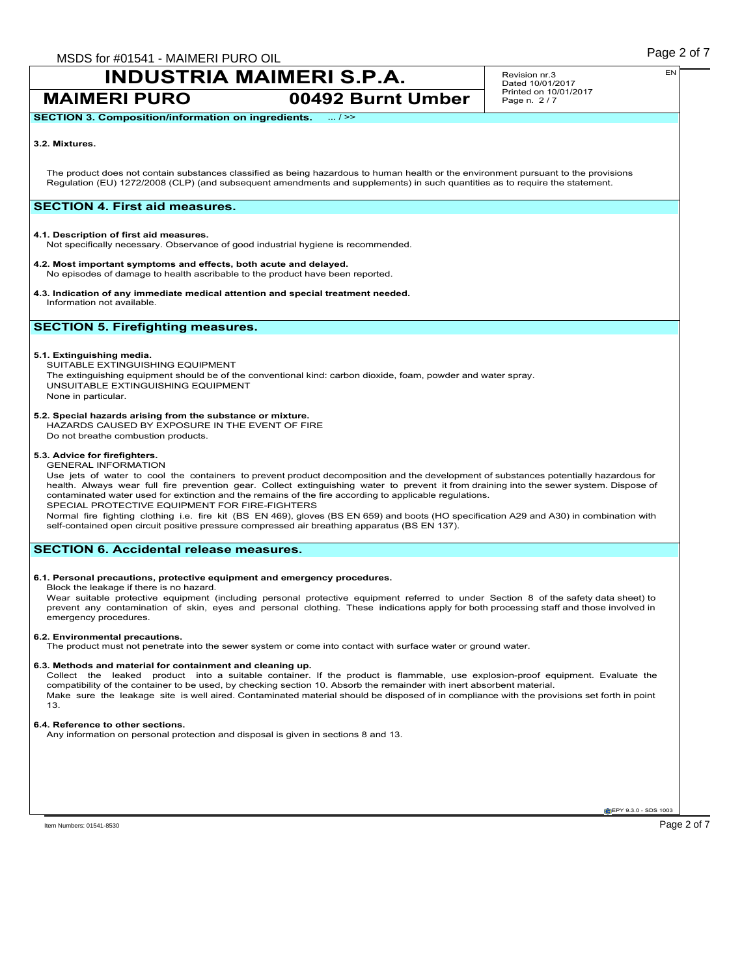# **INDUSTRIA MAIMERI S.P.A.**

**MAIMERI PURO 00492 Burnt Umber**

Revision nr.3 Dated 10/01/2017 Printed on 10/01/2017 Page n. 2 / 7

**SECTION 3. Composition/information on ingredients.** ... / >>

### **3.2. Mixtures.**

The product does not contain substances classified as being hazardous to human health or the environment pursuant to the provisions Regulation (EU) 1272/2008 (CLP) (and subsequent amendments and supplements) in such quantities as to require the statement.

# **SECTION 4. First aid measures.**

### **4.1. Description of first aid measures.**

Not specifically necessary. Observance of good industrial hygiene is recommended.

- **4.2. Most important symptoms and effects, both acute and delayed.**
- No episodes of damage to health ascribable to the product have been reported.
- **4.3. Indication of any immediate medical attention and special treatment needed.** Information not available.

# **SECTION 5. Firefighting measures.**

### **5.1. Extinguishing media.**

SUITABLE EXTINGUISHING EQUIPMENT The extinguishing equipment should be of the conventional kind: carbon dioxide, foam, powder and water spray. UNSUITABLE EXTINGUISHING EQUIPMENT None in particular.

**5.2. Special hazards arising from the substance or mixture.** HAZARDS CAUSED BY EXPOSURE IN THE EVENT OF FIRE

Do not breathe combustion products.

### **5.3. Advice for firefighters.**

GENERAL INFORMATION Use jets of water to cool the containers to prevent product decomposition and the development of substances potentially hazardous for health. Always wear full fire prevention gear. Collect extinguishing water to prevent it from draining into the sewer system. Dispose of contaminated water used for extinction and the remains of the fire according to applicable regulations.

SPECIAL PROTECTIVE EQUIPMENT FOR FIRE-FIGHTERS

Normal fire fighting clothing i.e. fire kit (BS EN 469), gloves (BS EN 659) and boots (HO specification A29 and A30) in combination with self-contained open circuit positive pressure compressed air breathing apparatus (BS EN 137).

## **SECTION 6. Accidental release measures.**

### **6.1. Personal precautions, protective equipment and emergency procedures.**

Block the leakage if there is no hazard.

Wear suitable protective equipment (including personal protective equipment referred to under Section 8 of the safety data sheet) to prevent any contamination of skin, eyes and personal clothing. These indications apply for both processing staff and those involved in emergency procedures.

### **6.2. Environmental precautions.**

The product must not penetrate into the sewer system or come into contact with surface water or ground water.

### **6.3. Methods and material for containment and cleaning up.**

Collect the leaked product into a suitable container. If the product is flammable, use explosion-proof equipment. Evaluate the compatibility of the container to be used, by checking section 10. Absorb the remainder with inert absorbent material. Make sure the leakage site is well aired. Contaminated material should be disposed of in compliance with the provisions set forth in point 13.

### **6.4. Reference to other sections.**

Any information on personal protection and disposal is given in sections 8 and 13.

**E**PY 9.3.0 - SDS 1003

Item Numbers: 01541-8530  $\sim$  Page 2 of 7  $\sim$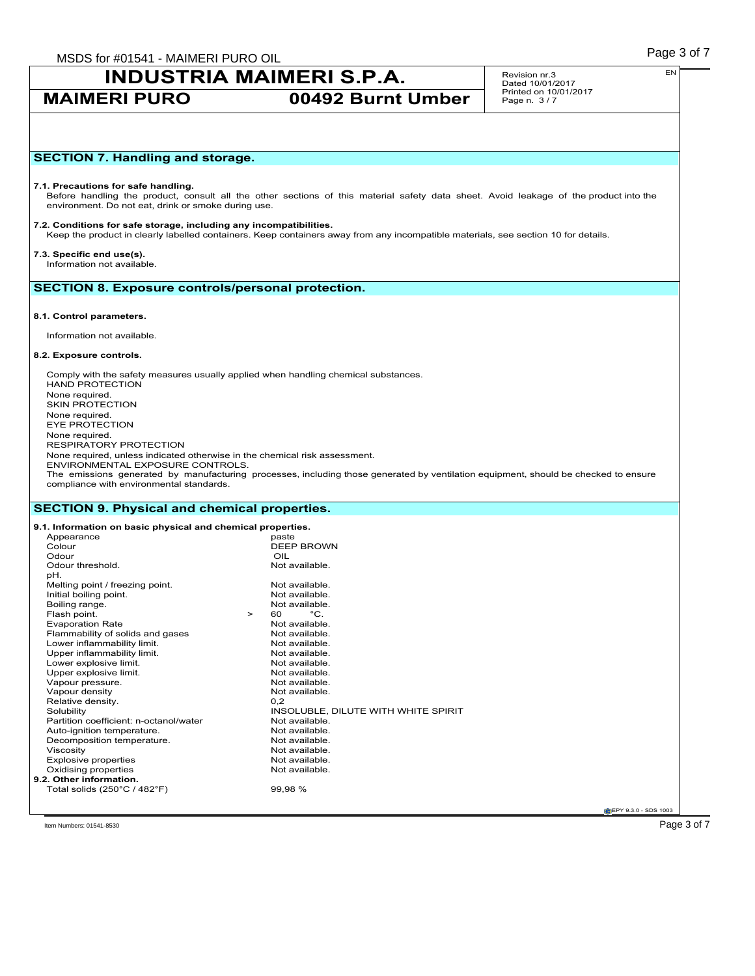MSDS for #01541 - MAIMERI PURO OIL **All and the Contract of Table 10 and Table 2** and Table 2 of 7

# **INDUSTRIA MAIMERI S.P.A.**

# **MAIMERI PURO 00492 Burnt Umber**

Revision nr.3 Dated 10/01/2017 Printed on 10/01/2017 Page n. 3 / 7

# **SECTION 7. Handling and storage.**

### **7.1. Precautions for safe handling.**

Before handling the product, consult all the other sections of this material safety data sheet. Avoid leakage of the product into the environment. Do not eat, drink or smoke during use.

**7.2. Conditions for safe storage, including any incompatibilities.** Keep the product in clearly labelled containers. Keep containers away from any incompatible materials, see section 10 for details.

### **7.3. Specific end use(s).**

Information not available.

## **SECTION 8. Exposure controls/personal protection.**

### **8.1. Control parameters.**

Information not available.

### **8.2. Exposure controls.**

Comply with the safety measures usually applied when handling chemical substances. HAND PROTECTION None required. SKIN PROTECTION None required. EYE PROTECTION None required. RESPIRATORY PROTECTION None required, unless indicated otherwise in the chemical risk assessment. ENVIRONMENTAL EXPOSURE CONTROLS. The emissions generated by manufacturing processes, including those generated by ventilation equipment, should be checked to ensure compliance with environmental standards.

# **SECTION 9. Physical and chemical properties.**

| Appearance                             |        | paste                               |
|----------------------------------------|--------|-------------------------------------|
| Colour                                 |        | <b>DEEP BROWN</b>                   |
| Odour                                  |        | OIL                                 |
| Odour threshold.                       |        | Not available.                      |
| pH.                                    |        |                                     |
| Melting point / freezing point.        |        | Not available.                      |
| Initial boiling point.                 |        | Not available.                      |
| Boiling range.                         |        | Not available.                      |
| Flash point.                           | $\geq$ | $^{\circ}C$ .<br>60                 |
| <b>Evaporation Rate</b>                |        | Not available.                      |
| Flammability of solids and gases       |        | Not available.                      |
| Lower inflammability limit.            |        | Not available.                      |
| Upper inflammability limit.            |        | Not available.                      |
| Lower explosive limit.                 |        | Not available.                      |
| Upper explosive limit.                 |        | Not available.                      |
| Vapour pressure.                       |        | Not available.                      |
| Vapour density                         |        | Not available.                      |
| Relative density.                      |        | 0.2                                 |
| Solubility                             |        | INSOLUBLE, DILUTE WITH WHITE SPIRIT |
| Partition coefficient: n-octanol/water |        | Not available.                      |
| Auto-ignition temperature.             |        | Not available.                      |
| Decomposition temperature.             |        | Not available.                      |
| Viscosity                              |        | Not available.                      |
| Explosive properties                   |        | Not available.                      |
| Oxidising properties                   |        | Not available.                      |
| 9.2. Other information.                |        |                                     |
| Total solids (250°C / 482°F)           |        | 99.98 %                             |

**CEPY 9.3.0 - SDS 1003** 

 $\Gamma$ ltem Numbers: 01541-8530  $\sim$   $\Gamma$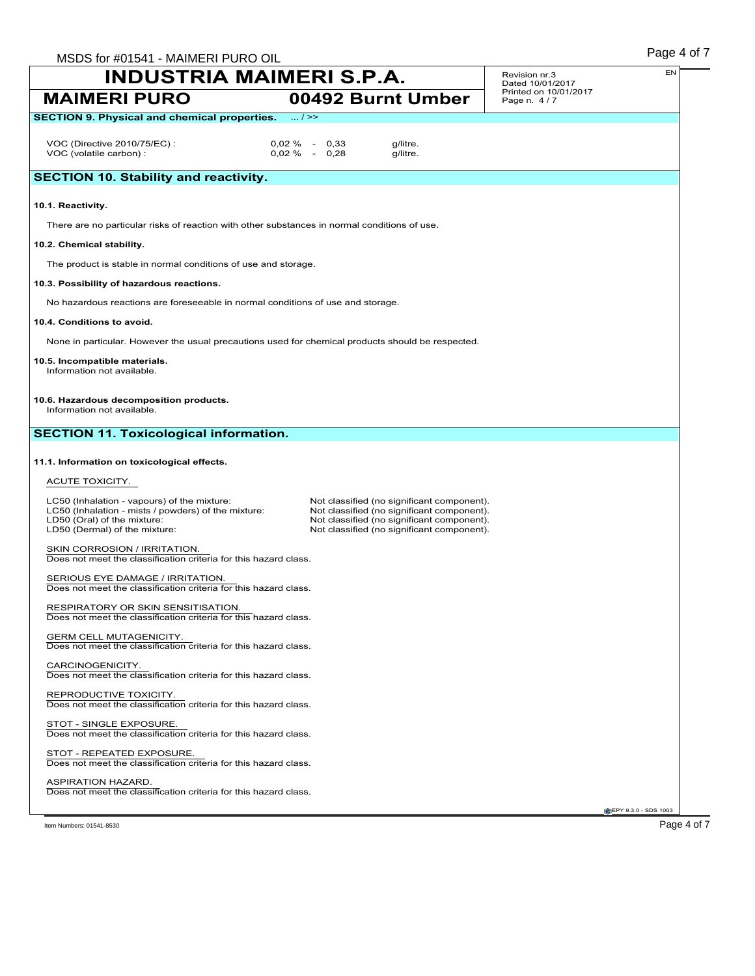| <b>INDUSTRIA MAIMERI S.P.A.</b>                                                                                     |                 |                                                                                                                                        | Revision nr.3<br>Dated 10/01/2017    | EN                   |
|---------------------------------------------------------------------------------------------------------------------|-----------------|----------------------------------------------------------------------------------------------------------------------------------------|--------------------------------------|----------------------|
| <b>MAIMERI PURO</b>                                                                                                 |                 | 00492 Burnt Umber                                                                                                                      | Printed on 10/01/2017<br>Page n. 4/7 |                      |
| <b>SECTION 9. Physical and chemical properties.</b>                                                                 | $\dots/$ >>     |                                                                                                                                        |                                      |                      |
| VOC (Directive 2010/75/EC) :                                                                                        | $0.02\% - 0.33$ | g/litre.                                                                                                                               |                                      |                      |
| VOC (volatile carbon) :                                                                                             | $0.02\% - 0.28$ | g/litre.                                                                                                                               |                                      |                      |
| <b>SECTION 10. Stability and reactivity.</b>                                                                        |                 |                                                                                                                                        |                                      |                      |
| 10.1. Reactivity.                                                                                                   |                 |                                                                                                                                        |                                      |                      |
| There are no particular risks of reaction with other substances in normal conditions of use.                        |                 |                                                                                                                                        |                                      |                      |
| 10.2. Chemical stability.                                                                                           |                 |                                                                                                                                        |                                      |                      |
| The product is stable in normal conditions of use and storage.                                                      |                 |                                                                                                                                        |                                      |                      |
| 10.3. Possibility of hazardous reactions.                                                                           |                 |                                                                                                                                        |                                      |                      |
| No hazardous reactions are foreseeable in normal conditions of use and storage.                                     |                 |                                                                                                                                        |                                      |                      |
| 10.4. Conditions to avoid.                                                                                          |                 |                                                                                                                                        |                                      |                      |
| None in particular. However the usual precautions used for chemical products should be respected.                   |                 |                                                                                                                                        |                                      |                      |
| 10.5. Incompatible materials.<br>Information not available.                                                         |                 |                                                                                                                                        |                                      |                      |
| 10.6. Hazardous decomposition products.<br>Information not available.                                               |                 |                                                                                                                                        |                                      |                      |
| <b>SECTION 11. Toxicological information.</b>                                                                       |                 |                                                                                                                                        |                                      |                      |
| 11.1. Information on toxicological effects.                                                                         |                 |                                                                                                                                        |                                      |                      |
| ACUTE TOXICITY.                                                                                                     |                 |                                                                                                                                        |                                      |                      |
| LC50 (Inhalation - vapours) of the mixture:                                                                         |                 | Not classified (no significant component).                                                                                             |                                      |                      |
| LC50 (Inhalation - mists / powders) of the mixture:<br>LD50 (Oral) of the mixture:<br>LD50 (Dermal) of the mixture: |                 | Not classified (no significant component).<br>Not classified (no significant component).<br>Not classified (no significant component). |                                      |                      |
| SKIN CORROSION / IRRITATION.<br>Does not meet the classification criteria for this hazard class.                    |                 |                                                                                                                                        |                                      |                      |
| SERIOUS EYE DAMAGE / IRRITATION.<br>Does not meet the classification criteria for this hazard class.                |                 |                                                                                                                                        |                                      |                      |
| RESPIRATORY OR SKIN SENSITISATION.<br>Does not meet the classification criteria for this hazard class.              |                 |                                                                                                                                        |                                      |                      |
| GERM CELL MUTAGENICITY.<br>Does not meet the classification criteria for this hazard class.                         |                 |                                                                                                                                        |                                      |                      |
| CARCINOGENICITY.<br>Does not meet the classification criteria for this hazard class.                                |                 |                                                                                                                                        |                                      |                      |
| REPRODUCTIVE TOXICITY.<br>Does not meet the classification criteria for this hazard class.                          |                 |                                                                                                                                        |                                      |                      |
| STOT - SINGLE EXPOSURE.<br>Does not meet the classification criteria for this hazard class.                         |                 |                                                                                                                                        |                                      |                      |
| STOT - REPEATED EXPOSURE.<br>Does not meet the classification criteria for this hazard class.                       |                 |                                                                                                                                        |                                      |                      |
| ASPIRATION HAZARD.<br>Does not meet the classification criteria for this hazard class.                              |                 |                                                                                                                                        |                                      |                      |
|                                                                                                                     |                 |                                                                                                                                        |                                      | EPY 9.3.0 - SDS 1003 |
|                                                                                                                     |                 |                                                                                                                                        |                                      |                      |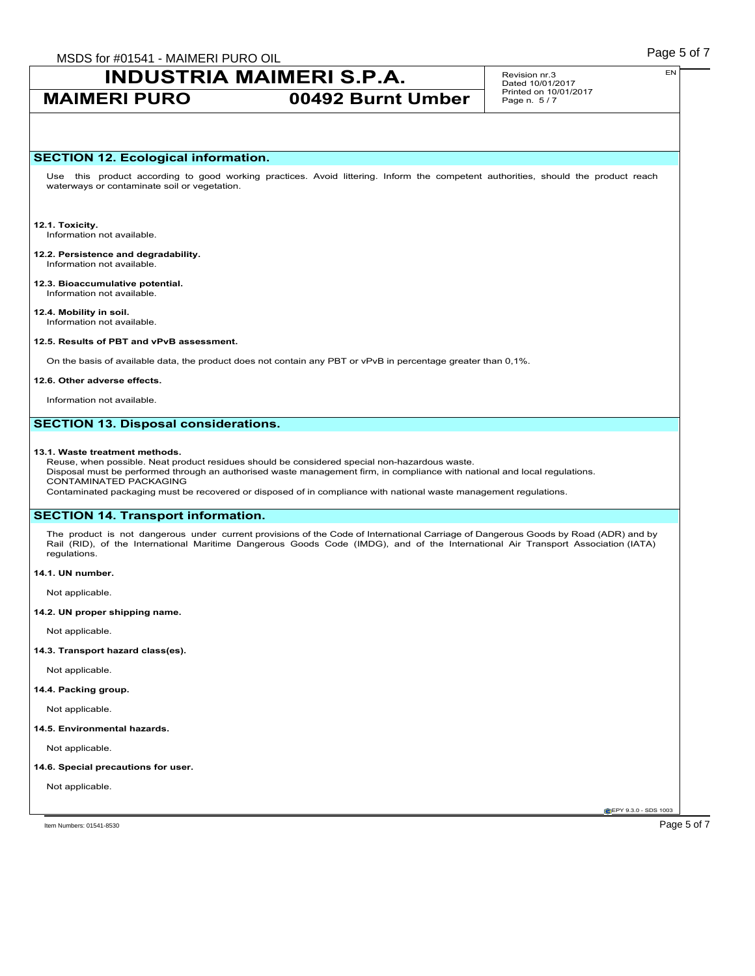# **INDUSTRIA MAIMERI S.P.A.**

# **MAIMERI PURO 00492 Burnt Umber**

Revision nr.3 Dated 10/01/2017 Printed on 10/01/2017 Page n. 5 / 7

## **SECTION 12. Ecological information.**

Use this product according to good working practices. Avoid littering. Inform the competent authorities, should the product reach waterways or contaminate soil or vegetation.

**12.1. Toxicity.** Information not available.

#### **12.2. Persistence and degradability.** Information not available.

**12.3. Bioaccumulative potential.** Information not available.

**12.4. Mobility in soil.** Information not available.

### **12.5. Results of PBT and vPvB assessment.**

On the basis of available data, the product does not contain any PBT or vPvB in percentage greater than 0,1%.

### **12.6. Other adverse effects.**

Information not available.

### **SECTION 13. Disposal considerations.**

### **13.1. Waste treatment methods.**

Reuse, when possible. Neat product residues should be considered special non-hazardous waste. Disposal must be performed through an authorised waste management firm, in compliance with national and local regulations. CONTAMINATED PACKAGING Contaminated packaging must be recovered or disposed of in compliance with national waste management regulations.

# **SECTION 14. Transport information.**

The product is not dangerous under current provisions of the Code of International Carriage of Dangerous Goods by Road (ADR) and by Rail (RID), of the International Maritime Dangerous Goods Code (IMDG), and of the International Air Transport Association (IATA) regulations.

### **14.1. UN number.**

Not applicable.

### **14.2. UN proper shipping name.**

Not applicable.

### **14.3. Transport hazard class(es).**

Not applicable.

# **14.4. Packing group.**

Not applicable.

### **14.5. Environmental hazards.**

Not applicable.

### **14.6. Special precautions for user.**

Not applicable.

**CEPY 9.3.0 - SDS 1003**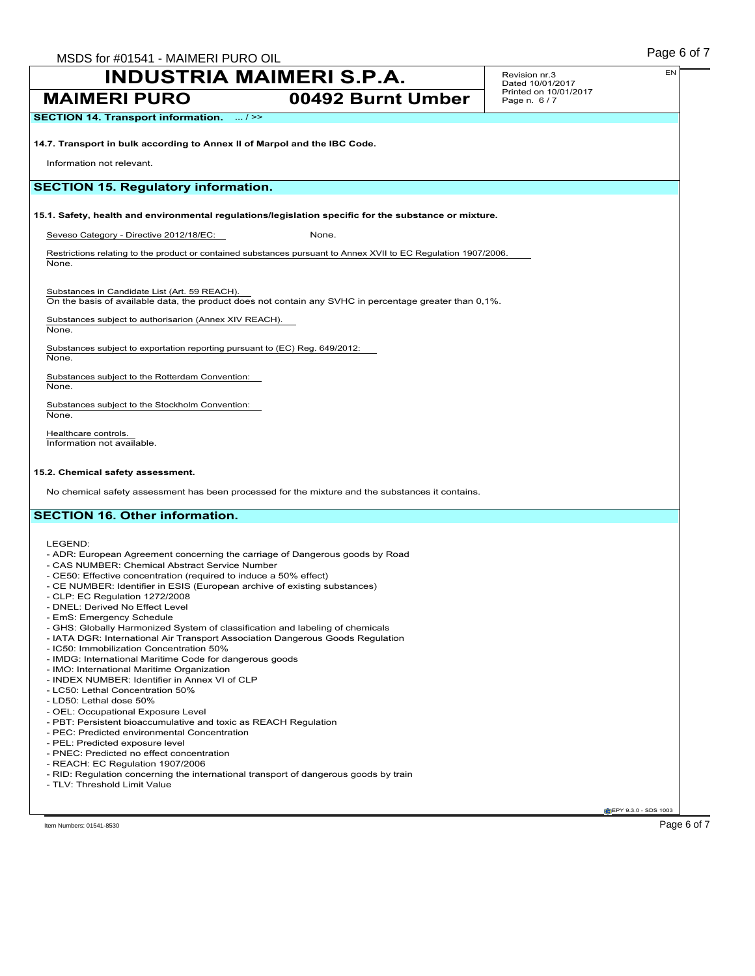|                                                                                                                                                                 | <b>INDUSTRIA MAIMERI S.P.A.</b>                                                                                 | EN<br>Revision nr.3<br>Dated 10/01/2017 |
|-----------------------------------------------------------------------------------------------------------------------------------------------------------------|-----------------------------------------------------------------------------------------------------------------|-----------------------------------------|
| <b>MAIMERI PURO</b>                                                                                                                                             | 00492 Burnt Umber                                                                                               | Printed on 10/01/2017<br>Page n. 6/7    |
| <b>SECTION 14. Transport information.</b><br>$\dots/$ >>                                                                                                        |                                                                                                                 |                                         |
| 14.7. Transport in bulk according to Annex II of Marpol and the IBC Code.                                                                                       |                                                                                                                 |                                         |
| Information not relevant.                                                                                                                                       |                                                                                                                 |                                         |
| <b>SECTION 15. Regulatory information.</b>                                                                                                                      |                                                                                                                 |                                         |
|                                                                                                                                                                 |                                                                                                                 |                                         |
|                                                                                                                                                                 | 15.1. Safety, health and environmental regulations/legislation specific for the substance or mixture.           |                                         |
| Seveso Category - Directive 2012/18/EC:                                                                                                                         | None.                                                                                                           |                                         |
| None.                                                                                                                                                           | Restrictions relating to the product or contained substances pursuant to Annex XVII to EC Regulation 1907/2006. |                                         |
|                                                                                                                                                                 |                                                                                                                 |                                         |
| Substances in Candidate List (Art. 59 REACH).                                                                                                                   | On the basis of available data, the product does not contain any SVHC in percentage greater than 0,1%.          |                                         |
| Substances subject to authorisarion (Annex XIV REACH).                                                                                                          |                                                                                                                 |                                         |
| None.                                                                                                                                                           |                                                                                                                 |                                         |
| Substances subject to exportation reporting pursuant to (EC) Reg. 649/2012:<br>None.                                                                            |                                                                                                                 |                                         |
| Substances subject to the Rotterdam Convention:                                                                                                                 |                                                                                                                 |                                         |
| None.                                                                                                                                                           |                                                                                                                 |                                         |
| Substances subject to the Stockholm Convention:<br>None.                                                                                                        |                                                                                                                 |                                         |
| Healthcare controls.                                                                                                                                            |                                                                                                                 |                                         |
| Information not available.                                                                                                                                      |                                                                                                                 |                                         |
|                                                                                                                                                                 |                                                                                                                 |                                         |
| 15.2. Chemical safety assessment.                                                                                                                               |                                                                                                                 |                                         |
|                                                                                                                                                                 | No chemical safety assessment has been processed for the mixture and the substances it contains.                |                                         |
| <b>SECTION 16. Other information.</b>                                                                                                                           |                                                                                                                 |                                         |
|                                                                                                                                                                 |                                                                                                                 |                                         |
| LEGEND:                                                                                                                                                         |                                                                                                                 |                                         |
| - ADR: European Agreement concerning the carriage of Dangerous goods by Road<br>- CAS NUMBER: Chemical Abstract Service Number                                  |                                                                                                                 |                                         |
| - CE50: Effective concentration (required to induce a 50% effect)                                                                                               |                                                                                                                 |                                         |
| - CE NUMBER: Identifier in ESIS (European archive of existing substances)<br>- CLP: EC Regulation 1272/2008                                                     |                                                                                                                 |                                         |
| - DNEL: Derived No Effect Level                                                                                                                                 |                                                                                                                 |                                         |
| - EmS: Emergency Schedule                                                                                                                                       |                                                                                                                 |                                         |
| - GHS: Globally Harmonized System of classification and labeling of chemicals<br>- IATA DGR: International Air Transport Association Dangerous Goods Regulation |                                                                                                                 |                                         |
| - IC50: Immobilization Concentration 50%                                                                                                                        |                                                                                                                 |                                         |
| - IMDG: International Maritime Code for dangerous goods                                                                                                         |                                                                                                                 |                                         |
| - IMO: International Maritime Organization<br>- INDEX NUMBER: Identifier in Annex VI of CLP                                                                     |                                                                                                                 |                                         |
| - LC50: Lethal Concentration 50%                                                                                                                                |                                                                                                                 |                                         |
| - LD50: Lethal dose 50%                                                                                                                                         |                                                                                                                 |                                         |
| - OEL: Occupational Exposure Level                                                                                                                              |                                                                                                                 |                                         |
| - PBT: Persistent bioaccumulative and toxic as REACH Regulation<br>- PEC: Predicted environmental Concentration                                                 |                                                                                                                 |                                         |
| - PEL: Predicted exposure level                                                                                                                                 |                                                                                                                 |                                         |
| - PNEC: Predicted no effect concentration                                                                                                                       |                                                                                                                 |                                         |
| - REACH: EC Regulation 1907/2006                                                                                                                                |                                                                                                                 |                                         |
| - RID: Regulation concerning the international transport of dangerous goods by train<br>- TLV: Threshold Limit Value                                            |                                                                                                                 |                                         |
|                                                                                                                                                                 |                                                                                                                 | CEPY 9.3.0 - SDS 1003                   |